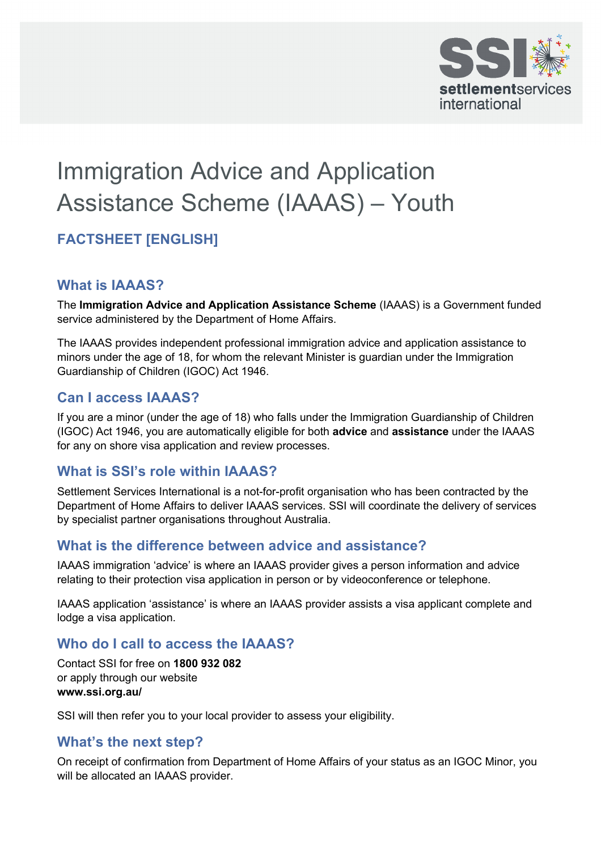

# Immigration Advice and Application Assistance Scheme (IAAAS) – Youth

# **FACTSHEET [ENGLISH]**

#### **What is IAAAS?**

 service administered by the Department of Home Affairs. The **Immigration Advice and Application Assistance Scheme** (IAAAS) is a Government funded

 The IAAAS provides independent professional immigration advice and application assistance to minors under the age of 18, for whom the relevant Minister is guardian under the Immigration Guardianship of Children (IGOC) Act 1946.

#### **Can I access IAAAS?**

 (IGOC) Act 1946, you are automatically eligible for both **advice** and **assistance** under the IAAAS If you are a minor (under the age of 18) who falls under the Immigration Guardianship of Children for any on shore visa application and review processes.

#### **What is SSI's role within IAAAS?**

 Settlement Services International is a not-for-profit organisation who has been contracted by the Department of Home Affairs to deliver IAAAS services. SSI will coordinate the delivery of services by specialist partner organisations throughout Australia.

## **What is the difference between advice and assistance?**

 relating to their protection visa application in person or by videoconference or telephone. IAAAS immigration 'advice' is where an IAAAS provider gives a person information and advice

 lodge a visa application. IAAAS application 'assistance' is where an IAAAS provider assists a visa applicant complete and

## **Who do I call to access the IAAAS?**

 Contact SSI for free on **1800 932 082**  or apply through our website **www.ssi.org.au/** 

SSI will then refer you to your local provider to assess your eligibility.

#### **What's the next step?**

 On receipt of confirmation from Department of Home Affairs of your status as an IGOC Minor, you will be allocated an IAAAS provider.